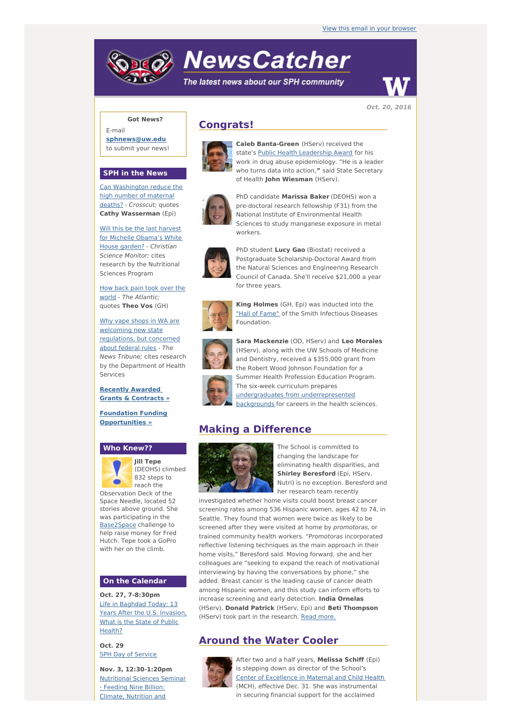# **NewsCatcher**

The latest news about our SPH community



**Oct. 20, 2016**

## **Got News?**

E-mail **[sphnews@uw.edu](mailto:sphnews@uw.edu)** to submit your news!

#### **SPH in the News**

Can [Washington](http://engage.washington.edu/site/R?i=OUJzSb3nDtuuKSYzP5Cy7Q) reduce the high number of maternal deaths? - Crosscut; quotes **Cathy Wasserman** (Epi)

Will this be the last harvest for Michelle [Obama's](http://engage.washington.edu/site/R?i=m13uh8Gel_V22iqaxtEmrg) White House garden? - Christian Science Monitor; cites research by the Nutritional Sciences Program

How back pain took over the world - The [Atlantic;](http://engage.washington.edu/site/R?i=wqTQrFMlyMkyRy0o9Q9Dww) quotes **Theo Vos** (GH)

Why vape shops in WA are welcoming new state [regulations,](http://engage.washington.edu/site/R?i=hTrh-WIzNKleMG_nHpP8OQ) but concerned about federal rules - The News Tribune; cites research by the Department of Health Services

**Recently [Awarded](http://engage.washington.edu/site/R?i=IhVGuadDVPUeyvDI2XFLrg) Grants & Contracts »**

**Foundation Funding [Opportunities](http://engage.washington.edu/site/R?i=xzIvkaGZ1mWbeUKqy3_vFQ) »**

### **Who Knew??**



**Jill Tepe** (DEOHS) climbed 832 steps to reach the

Observation Deck of the Space Needle, located 52 stories above ground. She was participating in the [Base2Space](http://engage.washington.edu/site/R?i=ul9UgPg2JDIv5ImOsHCDHg) challenge to help raise money for Fred Hutch. Tepe took a GoPro with her on the climb.

#### **On the Calendar**

**Oct. 27, 7-8:30pm** Life in [Baghdad](http://engage.washington.edu/site/R?i=_-Q0HIWGUEaMrgoUtbelyg) Today: 13 Years After the U.S. Invasion, What is the State of Public Health?

**Oct. 29 SPH Day of [Service](http://engage.washington.edu/site/R?i=AL4Qe97zXaO3H_3MaLILUg)** 

**Nov. 3, 12:30-1:20pm** [Nutritional](http://engage.washington.edu/site/R?i=RUyzlQQUWO1Aii5fqRPx7A) Sciences Seminar - Feeding Nine Billion: Climate, Nutrition and

## **Congrats!**



**Caleb Banta-Green** (HServ) received the state's Public Health [Leadership](http://engage.washington.edu/site/R?i=yXFx1C32j8iV0ZYGYipHvA) Award for his work in drug abuse epidemiology. "He is a leader who turns data into action,**"** said State Secretary of Health **John Wiesman** (HServ).



PhD candidate **Marissa Baker** (DEOHS) won a pre-doctoral research fellowship (F31) from the National Institute of Environmental Health Sciences to study manganese exposure in metal workers.



PhD student **Lucy Gao** (Biostat) received a Postgraduate Scholarship-Doctoral Award from the Natural Sciences and Engineering Research Council of Canada. She'll receive \$21,000 a year for three years.



**King Holmes** (GH, Epi) was inducted into the "Hall of [Fame"](http://engage.washington.edu/site/R?i=QDMN9b5ZmPpaKT5bvhpsDQ) of the Smith Infectious Diseases Foundation.



**Sara Mackenzie** (OD, HServ) and **Leo Morales** (HServ), along with the UW Schools of Medicine and Dentistry, received a \$355,000 grant from the Robert Wood Johnson Foundation for a Summer Health Profession Education Program. The six-week curriculum prepares undergraduates from [underrepresented](http://engage.washington.edu/site/R?i=19TcIF5ShedUNXx9weFiBQ) backgrounds for careers in the health sciences.

# **Making a Difference**



The School is committed to changing the landscape for eliminating health disparities, and **Shirley Beresford** (Epi, HServ, Nutri) is no exception. Beresford and her research team recently

investigated whether home visits could boost breast cancer screening rates among 536 Hispanic women, ages 42 to 74, in Seattle. They found that women were twice as likely to be screened after they were visited at home by promotoras, or trained community health workers. "Promotoras incorporated reflective listening techniques as the main approach in their home visits," Beresford said. Moving forward, she and her colleagues are "seeking to expand the reach of motivational interviewing by having the conversations by phone," she added. Breast cancer is the leading cause of cancer death among Hispanic women, and this study can inform efforts to increase screening and early detection. **India Ornelas** (HServ), **Donald Patrick** (HServ, Epi) and **Beti Thompson** (HServ) took part in the research. Read [more.](http://engage.washington.edu/site/R?i=K6SU_o_idBOA-Fl_fUcNgQ)

# **Around the Water Cooler**



After two and a half years, **Melissa Schiff** (Epi) is stepping down as director of the School's Center of [Excellence](http://engage.washington.edu/site/R?i=6PyExW_pNRHJsnM90DFbYQ) in Maternal and Child Health (MCH), effective Dec. 31. She was instrumental in securing financial support for the acclaimed